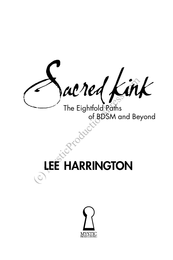

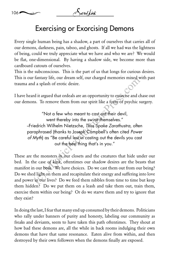

## Exercising or Exorcising Demons

Every single human being has a shadow, a part of ourselves that carries all of our demons, darkness, pain, taboo, and ghosts. If all we had was the lightness of being, could we truly appreciate what we have and who we are? We would be flat, one-dimensional. By having a shadow side, we become more than cardboard cutouts of ourselves.

This is the subconscious. This is the part of us that longs for curious desires. This is our fantasy life, our dream self, our charged memories mixed with past trauma and a splash of erotic desire.

I have heard it argued that ordeals are an opportunity to exorcise and chase out our demons. To remove them from our spirit like a form of psychic surgery.

"Not a few who meant to cast out their devil, went thereby into the swine themselves." --Friedrich Wilhelm Nietzsche, *Thus Spake Zarathustra*, often paraphrased (thanks to Joseph Campbell's often cited *Power of Myth*) as "Be careful lest in casting out the devils you cast out the best thing that's in you." Trantasy life, our dream sert, our charged memories mixed a<br>
d a splash of erotic desire.<br>
rd it argued that ordeals are an opportunity to exorgise and cl<br>
ms. To remove them from our spirit like a form of psychic s<br>
"Not

These are the monsters in our closets and the creatures that hide under our bed. In the case of kink, oftentimes our shadow desires are the beasts that manifest in our beds. We have choices. Do we cast them out from our being? Do we shed light on them and recapitulate their energy and suffering into love and power in our lives? Do we feed them nibbles from time to time but keep them hidden? Do we put them on a leash and take them out, train them, exercise them within our being? Or do we starve them and try to ignore that they exist?

In doing the last, I fear that many end up consumed by their demons. Politicians who rally under banners of purity and honesty, labeling our community as freaks and deviants, seem to have taken this path oftentimes. They shout at how bad these demons are, all the while in back rooms indulging their own demons that have that same resonance. Eaten alive from within, and then destroyed by their own followers when the demons finally are exposed.